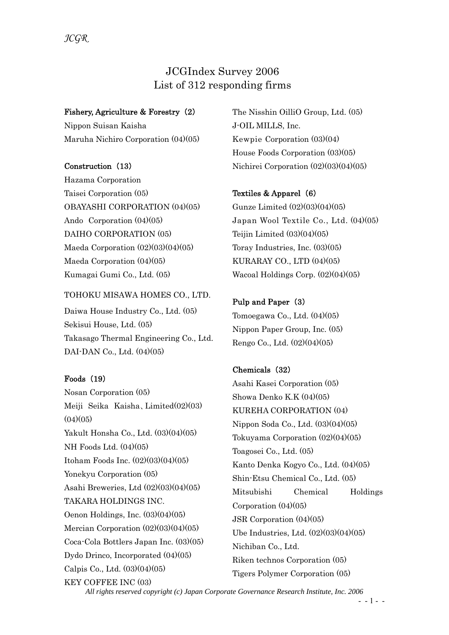# JCGIndex Survey 2006 List of 312 responding firms

## Fishery, Agriculture & Forestry (2)

Nippon Suisan Kaisha Maruha Nichiro Corporation (04)(05)

### Construction (13)

*JCGR*

Hazama Corporation Taisei Corporation (05) OBAYASHI CORPORATION (04)(05) Ando Corporation (04)(05) DAIHO CORPORATION (05) Maeda Corporation  $(02)(03)(04)(05)$ Maeda Corporation (04)(05) Kumagai Gumi Co., Ltd. (05)

#### TOHOKU MISAWA HOMES CO., LTD.

Daiwa House Industry Co., Ltd. (05) Sekisui House, Ltd. (05) Takasago Thermal Engineering Co., Ltd. DAI-DAN Co., Ltd. (04)(05)

### Foods (19)

Nosan Corporation (05) Meiji Seika Kaisha、Limited(02)(03)  $(04)(05)$ Yakult Honsha Co., Ltd. (03)(04)(05) NH Foods Ltd. (04)(05) Itoham Foods Inc. (02)(03)(04)(05) Yonekyu Corporation (05) Asahi Breweries, Ltd (02)(03)(04)(05) TAKARA HOLDINGS INC. Oenon Holdings, Inc. (03)(04)(05) Mercian Corporation (02)(03)(04)(05) Coca-Cola Bottlers Japan Inc. (03)(05) Dydo Drinco, Incorporated (04)(05) Calpis Co., Ltd. (03)(04)(05) KEY COFFEE INC (03)

The Nisshin OilliO Group, Ltd. (05) J-OIL MILLS, Inc. Kewpie Corporation (03)(04) House Foods Corporation (03)(05) Nichirei Corporation (02)(03)(04)(05)

### Textiles & Apparel (6)

Gunze Limited (02)(03)(04)(05) Japan Wool Textile Co., Ltd. (04)(05) Teijin Limited (03)(04)(05) Toray Industries, Inc. (03)(05) KURARAY CO., LTD (04)(05) Wacoal Holdings Corp. (02)(04)(05)

## Pulp and Paper (3)

Tomoegawa Co., Ltd. (04)(05) Nippon Paper Group, Inc. (05) Rengo Co., Ltd. (02)(04)(05)

## Chemicals (32)

Asahi Kasei Corporation (05) Showa Denko K.K (04)(05) KUREHA CORPORATION (04) Nippon Soda Co., Ltd. (03)(04)(05) Tokuyama Corporation (02)(04)(05) Toagosei Co., Ltd. (05) Kanto Denka Kogyo Co., Ltd. (04)(05) Shin-Etsu Chemical Co., Ltd. (05) Mitsubishi Chemical Holdings Corporation (04)(05) JSR Corporation (04)(05) Ube Industries, Ltd. (02)(03)(04)(05) Nichiban Co., Ltd. Riken technos Corporation (05) Tigers Polymer Corporation (05)

*All rights reserved copyright (c) Japan Corporate Governance Research Institute, Inc. 2006*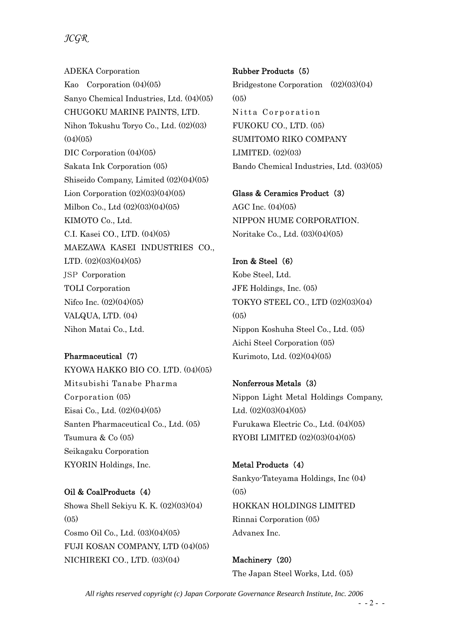ADEKA Corporation Kao Corporation (04)(05) Sanyo Chemical Industries, Ltd. (04)(05) CHUGOKU MARINE PAINTS, LTD. Nihon Tokushu Toryo Co., Ltd. (02)(03)  $(04)(05)$ DIC Corporation (04)(05) Sakata Ink Corporation (05) Shiseido Company, Limited (02)(04)(05) Lion Corporation  $(02)(03)(04)(05)$ Milbon Co., Ltd (02)(03)(04)(05) KIMOTO Co., Ltd. C.I. Kasei CO., LTD. (04)(05) MAEZAWA KASEI INDUSTRIES CO., LTD. (02)(03)(04)(05) JSP Corporation TOLI Corporation Nifco Inc. (02)(04)(05) VALQUA, LTD. (04) Nihon Matai Co., Ltd.

Pharmaceutical (7) KYOWA HAKKO BIO CO. LTD. (04)(05) Mitsubishi Tanabe Pharma Corporation (05) Eisai Co., Ltd. (02)(04)(05) Santen Pharmaceutical Co., Ltd. (05) Tsumura & Co (05) Seikagaku Corporation KYORIN Holdings, Inc.

Oil & CoalProducts (4) Showa Shell Sekiyu K. K. (02)(03)(04)  $(0,5)$ Cosmo Oil Co., Ltd. (03)(04)(05) FUJI KOSAN COMPANY, LTD (04)(05) NICHIREKI CO., LTD. (03)(04)

Rubber Products (5) Bridgestone Corporation (02)(03)(04)  $(0,5)$ Nitta Corporation FUKOKU CO., LTD. (05) SUMITOMO RIKO COMPANY LIMITED. (02)(03) Bando Chemical Industries, Ltd. (03)(05)

Glass & Ceramics Product (3) AGC Inc. (04)(05) NIPPON HUME CORPORATION. Noritake Co., Ltd. (03)(04)(05)

Iron & Steel (6) Kobe Steel, Ltd. JFE Holdings, Inc. (05) TOKYO STEEL CO., LTD (02)(03)(04)  $(0,5)$ Nippon Koshuha Steel Co., Ltd. (05) Aichi Steel Corporation (05) Kurimoto, Ltd. (02)(04)(05)

Nonferrous Metals (3) Nippon Light Metal Holdings Company, Ltd. (02)(03)(04)(05) Furukawa Electric Co., Ltd. (04)(05) RYOBI LIMITED (02)(03)(04)(05)

Metal Products (4) Sankyo-Tateyama Holdings, Inc (04) (05) HOKKAN HOLDINGS LIMITED Rinnai Corporation (05) Advanex Inc.

Machinery (20) The Japan Steel Works, Ltd. (05)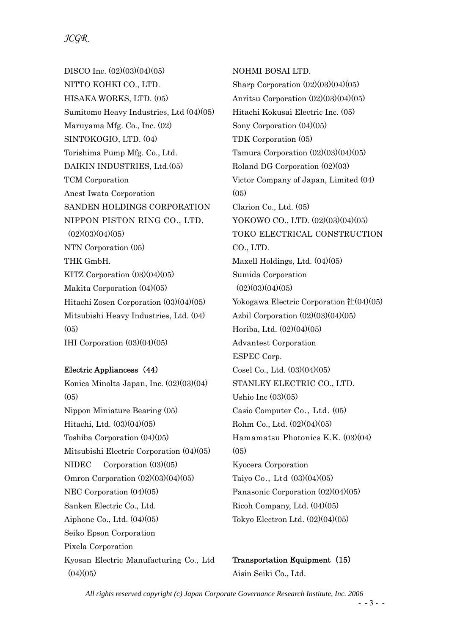DISCO Inc. (02)(03)(04)(05) NITTO KOHKI CO., LTD. HISAKA WORKS, LTD. (05) Sumitomo Heavy Industries, Ltd (04)(05) Maruyama Mfg. Co., Inc. (02) SINTOKOGIO, LTD. (04) Torishima Pump Mfg. Co., Ltd. DAIKIN INDUSTRIES, Ltd.(05) TCM Corporation Anest Iwata Corporation SANDEN HOLDINGS CORPORATION NIPPON PISTON RING CO., LTD.  $(02)(03)(04)(05)$ NTN Corporation (05) THK GmbH. KITZ Corporation (03)(04)(05) Makita Corporation (04)(05) Hitachi Zosen Corporation (03)(04)(05) Mitsubishi Heavy Industries, Ltd. (04)  $(05)$ IHI Corporation (03)(04)(05)

## Electric Appliancess (44)

Konica Minolta Japan, Inc. (02)(03)(04)  $(05)$ Nippon Miniature Bearing (05) Hitachi, Ltd. (03)(04)(05) Toshiba Corporation (04)(05) Mitsubishi Electric Corporation (04)(05) NIDEC Corporation (03)(05) Omron Corporation (02)(03)(04)(05) NEC Corporation (04)(05) Sanken Electric Co., Ltd. Aiphone Co., Ltd. (04)(05) Seiko Epson Corporation Pixela Corporation Kyosan Electric Manufacturing Co., Ltd  $(04)(05)$ 

NOHMI BOSAI LTD. Sharp Corporation (02)(03)(04)(05) Anritsu Corporation (02)(03)(04)(05) Hitachi Kokusai Electric Inc. (05) Sony Corporation (04)(05) TDK Corporation (05) Tamura Corporation  $(02)(03)(04)(05)$ Roland DG Corporation (02)(03) Victor Company of Japan, Limited (04)  $(05)$ Clarion Co., Ltd. (05) YOKOWO CO., LTD. (02)(03)(04)(05) TOKO ELECTRICAL CONSTRUCTION CO., LTD. Maxell Holdings, Ltd. (04)(05) Sumida Corporation  $(02)(03)(04)(05)$ Yokogawa Electric Corporation 社(04)(05) Azbil Corporation  $(02)(03)(04)(05)$ Horiba, Ltd. (02)(04)(05) Advantest Corporation ESPEC Corp. Cosel Co., Ltd. (03)(04)(05) STANLEY ELECTRIC CO., LTD. Ushio Inc (03)(05) Casio Computer Co., Ltd. (05) Rohm Co., Ltd. (02)(04)(05) Hamamatsu Photonics K.K. (03)(04)  $(05)$ Kyocera Corporation Taiyo Co., Ltd (03)(04)(05) Panasonic Corporation (02)(04)(05) Ricoh Company, Ltd. (04)(05) Tokyo Electron Ltd. (02)(04)(05)

Transportation Equipment (15) Aisin Seiki Co., Ltd.

*All rights reserved copyright (c) Japan Corporate Governance Research Institute, Inc. 2006*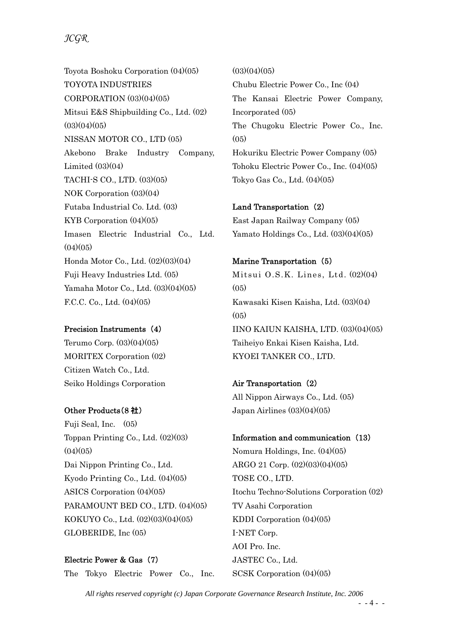Toyota Boshoku Corporation (04)(05) TOYOTA INDUSTRIES CORPORATION (03)(04)(05) Mitsui E&S Shipbuilding Co., Ltd. (02)  $(03)(04)(05)$ NISSAN MOTOR CO., LTD (05) Akebono Brake Industry Company, Limited  $(03)(04)$ TACHI-S CO., LTD. (03)(05) NOK Corporation (03)(04) Futaba Industrial Co. Ltd. (03) KYB Corporation (04)(05) Imasen Electric Industrial Co., Ltd.  $(04)(05)$ Honda Motor Co., Ltd. (02)(03)(04) Fuji Heavy Industries Ltd. (05) Yamaha Motor Co., Ltd. (03)(04)(05) F.C.C. Co., Ltd. (04)(05)

### Precision Instruments (4)

Terumo Corp. (03)(04)(05) MORITEX Corporation (02) Citizen Watch Co., Ltd. Seiko Holdings Corporation

## Other Products(8 社)

Fuji Seal, Inc. (05) Toppan Printing Co., Ltd. (02)(03)  $(04)(05)$ Dai Nippon Printing Co., Ltd. Kyodo Printing Co., Ltd. (04)(05) ASICS Corporation (04)(05) PARAMOUNT BED CO., LTD. (04)(05) KOKUYO Co., Ltd. (02)(03)(04)(05) GLOBERIDE, Inc (05)

Electric Power & Gas (7) The Tokyo Electric Power Co., Inc.  $(03)(04)(05)$ 

Chubu Electric Power Co., Inc (04) The Kansai Electric Power Company, Incorporated (05) The Chugoku Electric Power Co., Inc.  $(0,5)$ Hokuriku Electric Power Company (05) Tohoku Electric Power Co., Inc. (04)(05) Tokyo Gas Co., Ltd. (04)(05)

### Land Transportation (2)

East Japan Railway Company (05) Yamato Holdings Co., Ltd. (03)(04)(05)

### Marine Transportation (5)

Mitsui O.S.K. Lines, Ltd. (02)(04)  $(05)$ Kawasaki Kisen Kaisha, Ltd. (03)(04)  $(05)$ IINO KAIUN KAISHA, LTD. (03)(04)(05) Taiheiyo Enkai Kisen Kaisha, Ltd. KYOEI TANKER CO., LTD.

Air Transportation (2) All Nippon Airways Co., Ltd. (05) Japan Airlines (03)(04)(05)

Information and communication (13) Nomura Holdings, Inc. (04)(05) ARGO 21 Corp. (02)(03)(04)(05) TOSE CO., LTD. Itochu Techno-Solutions Corporation (02) TV Asahi Corporation KDDI Corporation (04)(05) I-NET Corp. AOI Pro. Inc. JASTEC Co., Ltd. SCSK Corporation (04)(05)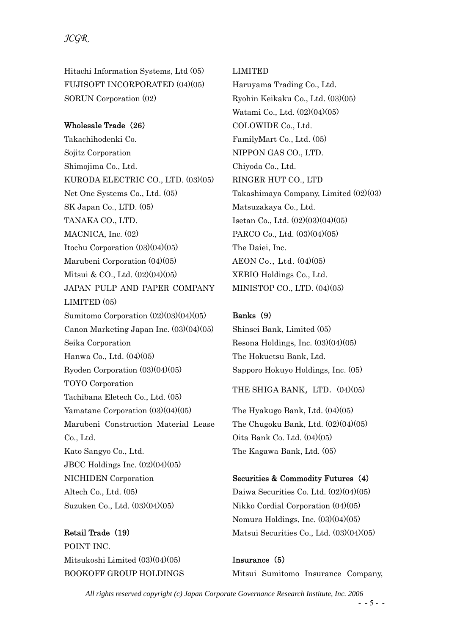Hitachi Information Systems, Ltd (05) FUJISOFT INCORPORATED (04)(05) SORUN Corporation (02)

### Wholesale Trade (26)

Takachihodenki Co. Sojitz Corporation Shimojima Co., Ltd. KURODA ELECTRIC CO., LTD. (03)(05) Net One Systems Co., Ltd. (05) SK Japan Co., LTD. (05) TANAKA CO., LTD. MACNICA, Inc. (02) Itochu Corporation (03)(04)(05) Marubeni Corporation (04)(05) Mitsui & CO., Ltd. (02)(04)(05) JAPAN PULP AND PAPER COMPANY LIMITED (05) Sumitomo Corporation (02)(03)(04)(05) Canon Marketing Japan Inc. (03)(04)(05) Seika Corporation Hanwa Co., Ltd. (04)(05) Ryoden Corporation (03)(04)(05) TOYO Corporation Tachibana Eletech Co., Ltd. (05) Yamatane Corporation (03)(04)(05) Marubeni Construction Material Lease Co., Ltd. Kato Sangyo Co., Ltd. JBCC Holdings Inc. (02)(04)(05) NICHIDEN Corporation Altech Co., Ltd. (05) Suzuken Co., Ltd. (03)(04)(05)

Retail Trade (19) POINT INC. Mitsukoshi Limited (03)(04)(05) BOOKOFF GROUP HOLDINGS

#### LIMITED

Haruyama Trading Co., Ltd. Ryohin Keikaku Co., Ltd. (03)(05) Watami Co., Ltd. (02)(04)(05) COLOWIDE Co., Ltd. FamilyMart Co., Ltd. (05) NIPPON GAS CO., LTD. Chiyoda Co., Ltd. RINGER HUT CO., LTD Takashimaya Company, Limited (02)(03) Matsuzakaya Co., Ltd. Isetan Co., Ltd. (02)(03)(04)(05) PARCO Co., Ltd. (03)(04)(05) The Daiei, Inc. AEON Co., Ltd. (04)(05) XEBIO Holdings Co., Ltd. MINISTOP CO., LTD. (04)(05)

#### Banks (9)

Shinsei Bank, Limited (05) Resona Holdings, Inc. (03)(04)(05) The Hokuetsu Bank, Ltd. Sapporo Hokuyo Holdings, Inc. (05)

THE SHIGA BANK, LTD.  $(04)(05)$ 

The Hyakugo Bank, Ltd. (04)(05) The Chugoku Bank, Ltd. (02)(04)(05) Oita Bank Co. Ltd. (04)(05) The Kagawa Bank, Ltd. (05)

#### Securities & Commodity Futures (4)

Daiwa Securities Co. Ltd. (02)(04)(05) Nikko Cordial Corporation (04)(05) Nomura Holdings, Inc. (03)(04)(05) Matsui Securities Co., Ltd. (03)(04)(05)

Insurance (5) Mitsui Sumitomo Insurance Company,